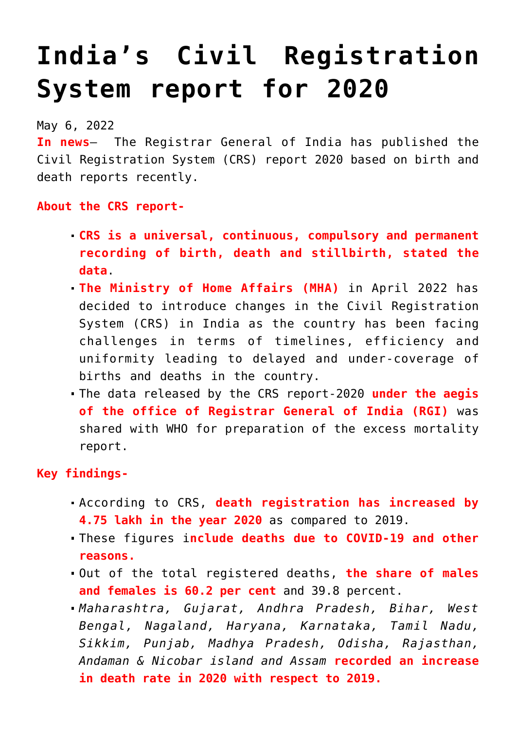## **[India's Civil Registration](https://journalsofindia.com/indias-civil-registration-system-report-for-2020/) [System report for 2020](https://journalsofindia.com/indias-civil-registration-system-report-for-2020/)**

May 6, 2022

**In news**– The Registrar General of India has published the Civil Registration System (CRS) report 2020 based on birth and death reports recently.

**About the CRS report-**

- **CRS is a universal, continuous, compulsory and permanent recording of birth, death and stillbirth, stated the data**.
- **The Ministry of Home Affairs (MHA)** in April 2022 has decided to introduce changes in the Civil Registration System (CRS) in India as the country has been facing challenges in terms of timelines, efficiency and uniformity leading to delayed and under-coverage of births and deaths in the country.
- The data released by the CRS report-2020 **under the aegis of the office of Registrar General of India (RGI)** was shared with WHO for preparation of the excess mortality report.

## **Key findings-**

- According to CRS, **death registration has increased by 4.75 lakh in the year 2020** as compared to 2019.
- These figures i**nclude deaths due to COVID-19 and other reasons.**
- Out of the total registered deaths, **the share of males and females is 60.2 per cent** and 39.8 percent.
- *Maharashtra, Gujarat, Andhra Pradesh, Bihar, West Bengal, Nagaland, Haryana, Karnataka, Tamil Nadu, Sikkim, Punjab, Madhya Pradesh, Odisha, Rajasthan, Andaman & Nicobar island and Assam* **recorded an increase in death rate in 2020 with respect to 2019.**